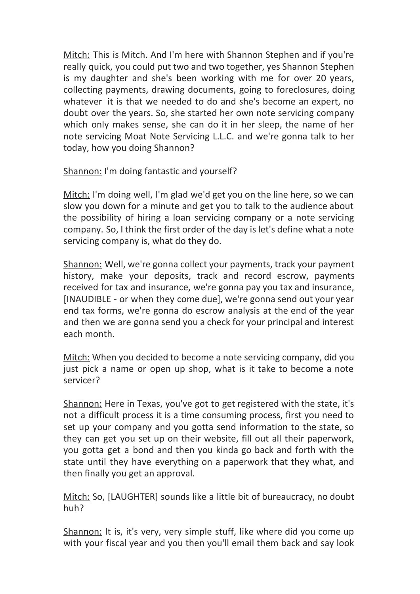Mitch: This is Mitch. And I'm here with Shannon Stephen and if you're really quick, you could put two and two together, yes Shannon Stephen is my daughter and she's been working with me for over 20 years, collecting payments, drawing documents, going to foreclosures, doing whatever it is that we needed to do and she's become an expert, no doubt over the years. So, she started her own note servicing company which only makes sense, she can do it in her sleep, the name of her note servicing Moat Note Servicing L.L.C. and we're gonna talk to her today, how you doing Shannon?

Shannon: I'm doing fantastic and yourself?

Mitch: I'm doing well, I'm glad we'd get you on the line here, so we can slow you down for a minute and get you to talk to the audience about the possibility of hiring a loan servicing company or a note servicing company. So, I think the first order of the day is let's define what a note servicing company is, what do they do.

Shannon: Well, we're gonna collect your payments, track your payment history, make your deposits, track and record escrow, payments received for tax and insurance, we're gonna pay you tax and insurance, [INAUDIBLE - or when they come due], we're gonna send out your year end tax forms, we're gonna do escrow analysis at the end of the year and then we are gonna send you a check for your principal and interest each month.

Mitch: When you decided to become a note servicing company, did you just pick a name or open up shop, what is it take to become a note servicer?

Shannon: Here in Texas, you've got to get registered with the state, it's not a difficult process it is a time consuming process, first you need to set up your company and you gotta send information to the state, so they can get you set up on their website, fill out all their paperwork, you gotta get a bond and then you kinda go back and forth with the state until they have everything on a paperwork that they what, and then finally you get an approval.

Mitch: So, [LAUGHTER] sounds like a little bit of bureaucracy, no doubt huh?

Shannon: It is, it's very, very simple stuff, like where did you come up with your fiscal year and you then you'll email them back and say look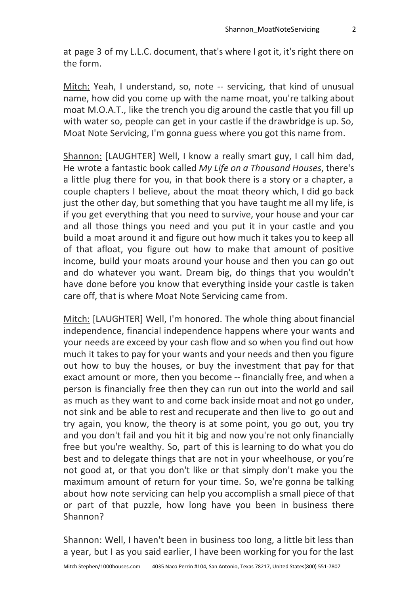at page 3 of my L.L.C. document, that's where I got it, it's right there on the form.

Mitch: Yeah, I understand, so, note -- servicing, that kind of unusual name, how did you come up with the name moat, you're talking about moat M.O.A.T., like the trench you dig around the castle that you fill up with water so, people can get in your castle if the drawbridge is up. So, Moat Note Servicing, I'm gonna guess where you got this name from.

Shannon: [LAUGHTER] Well, I know a really smart guy, I call him dad, He wrote a fantastic book called *My Life on a Thousand Houses*, there's a little plug there for you, in that book there is a story or a chapter, a couple chapters I believe, about the moat theory which, I did go back just the other day, but something that you have taught me all my life, is if you get everything that you need to survive, your house and your car and all those things you need and you put it in your castle and you build a moat around it and figure out how much it takes you to keep all of that afloat, you figure out how to make that amount of positive income, build your moats around your house and then you can go out and do whatever you want. Dream big, do things that you wouldn't have done before you know that everything inside your castle is taken care off, that is where Moat Note Servicing came from.

Mitch: [LAUGHTER] Well, I'm honored. The whole thing about financial independence, financial independence happens where your wants and your needs are exceed by your cash flow and so when you find out how much it takes to pay for your wants and your needs and then you figure out how to buy the houses, or buy the investment that pay for that exact amount or more, then you become -- financially free, and when a person is financially free then they can run out into the world and sail as much as they want to and come back inside moat and not go under, not sink and be able to rest and recuperate and then live to go out and try again, you know, the theory is at some point, you go out, you try and you don't fail and you hit it big and now you're not only financially free but you're wealthy. So, part of this is learning to do what you do best and to delegate things that are not in your wheelhouse, or you're not good at, or that you don't like or that simply don't make you the maximum amount of return for your time. So, we're gonna be talking about how note servicing can help you accomplish a small piece of that or part of that puzzle, how long have you been in business there Shannon?

Shannon: Well, I haven't been in business too long, a little bit less than a year, but I as you said earlier, I have been working for you for the last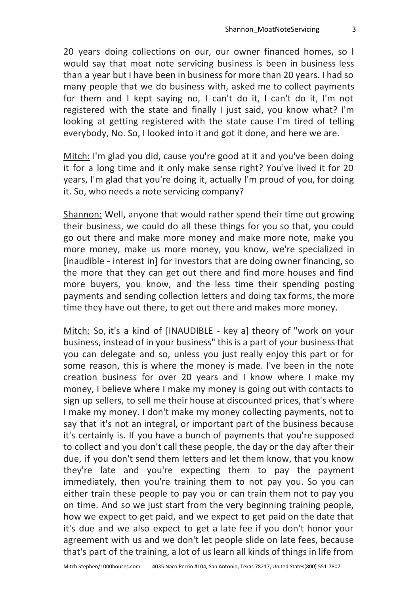20 years doing collections on our, our owner financed homes, so I would say that moat note servicing business is been in business less than a year but I have been in business for more than 20 years. I had so many people that we do business with, asked me to collect payments for them and I kept saying no, I can't do it, I can't do it, I'm not registered with the state and finally I just said, you know what? I'm looking at getting registered with the state cause I'm tired of telling everybody, No. So, I looked into it and got it done, and here we are.

Mitch: I'm glad you did, cause you're good at it and you've been doing it for a long time and it only make sense right? You've lived it for 20 years, I'm glad that you're doing it, actually I'm proud of you, for doing it. So, who needs a note servicing company?

Shannon: Well, anyone that would rather spend their time out growing their business, we could do all these things for you so that, you could go out there and make more money and make more note, make you more money, make us more money, you know, we're specialized in [inaudible - interest in] for investors that are doing owner financing, so the more that they can get out there and find more houses and find more buyers, you know, and the less time their spending posting payments and sending collection letters and doing tax forms, the more time they have out there, to get out there and makes more money.

Mitch: So, it's a kind of [INAUDIBLE - key a] theory of "work on your business, instead of in your business" this is a part of your business that you can delegate and so, unless you just really enjoy this part or for some reason, this is where the money is made. I've been in the note creation business for over 20 years and I know where I make my money, I believe where I make my money is going out with contacts to sign up sellers, to sell me their house at discounted prices, that's where I make my money. I don't make my money collecting payments, not to say that it's not an integral, or important part of the business because it's certainly is. If you have a bunch of payments that you're supposed to collect and you don't call these people, the day or the day after their due, if you don't send them letters and let them know, that you know they're late and you're expecting them to pay the payment immediately, then you're training them to not pay you. So you can either train these people to pay you or can train them not to pay you on time. And so we just start from the very beginning training people, how we expect to get paid, and we expect to get paid on the date that it's due and we also expect to get a late fee if you don't honor your agreement with us and we don't let people slide on late fees, because that's part of the training, a lot of us learn all kinds of things in life from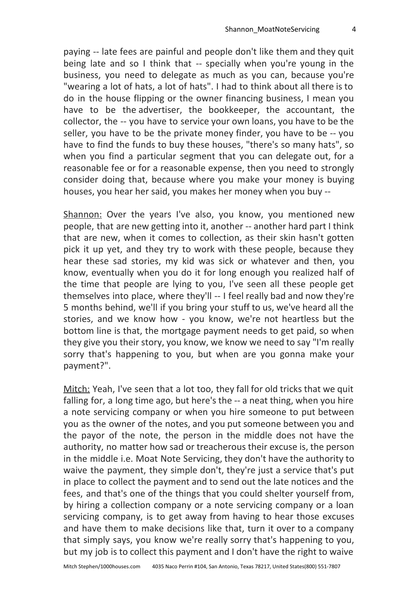paying -- late fees are painful and people don't like them and they quit being late and so I think that -- specially when you're young in the business, you need to delegate as much as you can, because you're "wearing a lot of hats, a lot of hats". I had to think about all there is to do in the house flipping or the owner financing business, I mean you have to be the advertiser, the bookkeeper, the accountant, the collector, the -- you have to service your own loans, you have to be the seller, you have to be the private money finder, you have to be -- you have to find the funds to buy these houses, "there's so many hats", so when you find a particular segment that you can delegate out, for a reasonable fee or for a reasonable expense, then you need to strongly consider doing that, because where you make your money is buying houses, you hear her said, you makes her money when you buy --

Shannon: Over the years I've also, you know, you mentioned new people, that are new getting into it, another -- another hard part I think that are new, when it comes to collection, as their skin hasn't gotten pick it up yet, and they try to work with these people, because they hear these sad stories, my kid was sick or whatever and then, you know, eventually when you do it for long enough you realized half of the time that people are lying to you, I've seen all these people get themselves into place, where they'll -- I feel really bad and now they're 5 months behind, we'll if you bring your stuff to us, we've heard all the stories, and we know how - you know, we're not heartless but the bottom line is that, the mortgage payment needs to get paid, so when they give you their story, you know, we know we need to say "I'm really sorry that's happening to you, but when are you gonna make your payment?".

Mitch: Yeah, I've seen that a lot too, they fall for old tricks that we quit falling for, a long time ago, but here's the -- a neat thing, when you hire a note servicing company or when you hire someone to put between you as the owner of the notes, and you put someone between you and the payor of the note, the person in the middle does not have the authority, no matter how sad or treacherous their excuse is, the person in the middle i.e. Moat Note Servicing, they don't have the authority to waive the payment, they simple don't, they're just a service that's put in place to collect the payment and to send out the late notices and the fees, and that's one of the things that you could shelter yourself from, by hiring a collection company or a note servicing company or a loan servicing company, is to get away from having to hear those excuses and have them to make decisions like that, turn it over to a company that simply says, you know we're really sorry that's happening to you, but my job is to collect this payment and I don't have the right to waive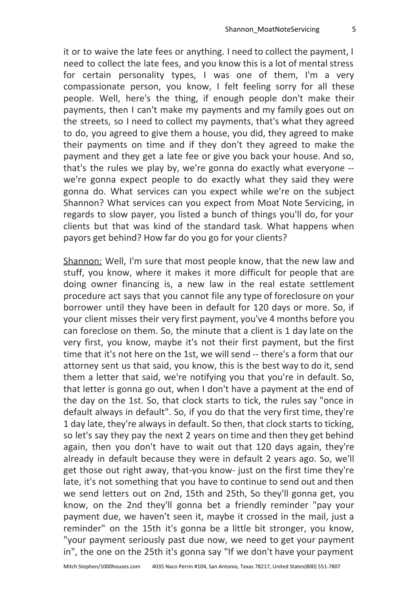it or to waive the late fees or anything. I need to collect the payment, I need to collect the late fees, and you know this is a lot of mental stress for certain personality types, I was one of them, I'm a very compassionate person, you know, I felt feeling sorry for all these people. Well, here's the thing, if enough people don't make their payments, then I can't make my payments and my family goes out on the streets, so I need to collect my payments, that's what they agreed to do, you agreed to give them a house, you did, they agreed to make their payments on time and if they don't they agreed to make the payment and they get a late fee or give you back your house. And so, that's the rules we play by, we're gonna do exactly what everyone - we're gonna expect people to do exactly what they said they were gonna do. What services can you expect while we're on the subject Shannon? What services can you expect from Moat Note Servicing, in regards to slow payer, you listed a bunch of things you'll do, for your clients but that was kind of the standard task. What happens when payors get behind? How far do you go for your clients?

Shannon: Well, I'm sure that most people know, that the new law and stuff, you know, where it makes it more difficult for people that are doing owner financing is, a new law in the real estate settlement procedure act says that you cannot file any type of foreclosure on your borrower until they have been in default for 120 days or more. So, if your client misses their very first payment, you've 4 months before you can foreclose on them. So, the minute that a client is 1 day late on the very first, you know, maybe it's not their first payment, but the first time that it's not here on the 1st, we will send -- there's a form that our attorney sent us that said, you know, this is the best way to do it, send them a letter that said, we're notifying you that you're in default. So, that letter is gonna go out, when I don't have a payment at the end of the day on the 1st. So, that clock starts to tick, the rules say "once in default always in default". So, if you do that the very first time, they're 1 day late, they're always in default. So then, that clock starts to ticking, so let's say they pay the next 2 years on time and then they get behind again, then you don't have to wait out that 120 days again, they're already in default because they were in default 2 years ago. So, we'll get those out right away, that-you know- just on the first time they're late, it's not something that you have to continue to send out and then we send letters out on 2nd, 15th and 25th, So they'll gonna get, you know, on the 2nd they'll gonna bet a friendly reminder "pay your payment due, we haven't seen it, maybe it crossed in the mail, just a reminder" on the 15th it's gonna be a little bit stronger, you know, "your payment seriously past due now, we need to get your payment in", the one on the 25th it's gonna say "If we don't have your payment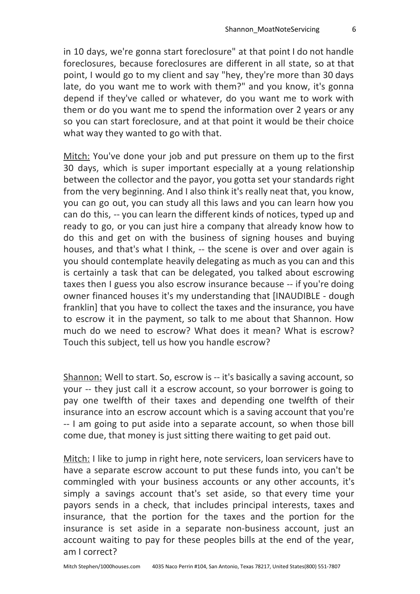in 10 days, we're gonna start foreclosure" at that point I do not handle foreclosures, because foreclosures are different in all state, so at that point, I would go to my client and say "hey, they're more than 30 days late, do you want me to work with them?" and you know, it's gonna depend if they've called or whatever, do you want me to work with them or do you want me to spend the information over 2 years or any so you can start foreclosure, and at that point it would be their choice what way they wanted to go with that.

Mitch: You've done your job and put pressure on them up to the first 30 days, which is super important especially at a young relationship between the collector and the payor, you gotta set your standards right from the very beginning. And I also think it's really neat that, you know, you can go out, you can study all this laws and you can learn how you can do this, -- you can learn the different kinds of notices, typed up and ready to go, or you can just hire a company that already know how to do this and get on with the business of signing houses and buying houses, and that's what I think, -- the scene is over and over again is you should contemplate heavily delegating as much as you can and this is certainly a task that can be delegated, you talked about escrowing taxes then I guess you also escrow insurance because -- if you're doing owner financed houses it's my understanding that [INAUDIBLE - dough franklin] that you have to collect the taxes and the insurance, you have to escrow it in the payment, so talk to me about that Shannon. How much do we need to escrow? What does it mean? What is escrow? Touch this subject, tell us how you handle escrow?

Shannon: Well to start. So, escrow is -- it's basically a saving account, so your -- they just call it a escrow account, so your borrower is going to pay one twelfth of their taxes and depending one twelfth of their insurance into an escrow account which is a saving account that you're -- I am going to put aside into a separate account, so when those bill come due, that money is just sitting there waiting to get paid out.

Mitch: I like to jump in right here, note servicers, loan servicers have to have a separate escrow account to put these funds into, you can't be commingled with your business accounts or any other accounts, it's simply a savings account that's set aside, so that every time your payors sends in a check, that includes principal interests, taxes and insurance, that the portion for the taxes and the portion for the insurance is set aside in a separate non-business account, just an account waiting to pay for these peoples bills at the end of the year, am I correct?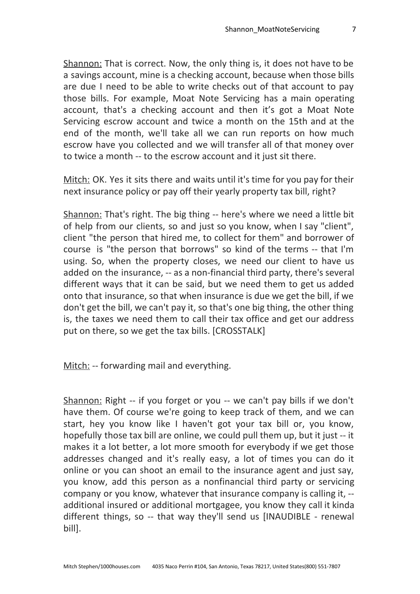Shannon: That is correct. Now, the only thing is, it does not have to be a savings account, mine is a checking account, because when those bills are due I need to be able to write checks out of that account to pay those bills. For example, Moat Note Servicing has a main operating account, that's a checking account and then it's got a Moat Note Servicing escrow account and twice a month on the 15th and at the end of the month, we'll take all we can run reports on how much escrow have you collected and we will transfer all of that money over to twice a month -- to the escrow account and it just sit there.

Mitch: OK. Yes it sits there and waits until it's time for you pay for their next insurance policy or pay off their yearly property tax bill, right?

Shannon: That's right. The big thing -- here's where we need a little bit of help from our clients, so and just so you know, when I say "client", client "the person that hired me, to collect for them" and borrower of course is "the person that borrows" so kind of the terms -- that I'm using. So, when the property closes, we need our client to have us added on the insurance, -- as a non-financial third party, there's several different ways that it can be said, but we need them to get us added onto that insurance, so that when insurance is due we get the bill, if we don't get the bill, we can't pay it, so that's one big thing, the other thing is, the taxes we need them to call their tax office and get our address put on there, so we get the tax bills. [CROSSTALK]

Mitch: -- forwarding mail and everything.

Shannon: Right -- if you forget or you -- we can't pay bills if we don't have them. Of course we're going to keep track of them, and we can start, hey you know like I haven't got your tax bill or, you know, hopefully those tax bill are online, we could pull them up, but it just -- it makes it a lot better, a lot more smooth for everybody if we get those addresses changed and it's really easy, a lot of times you can do it online or you can shoot an email to the insurance agent and just say, you know, add this person as a nonfinancial third party or servicing company or you know, whatever that insurance company is calling it, - additional insured or additional mortgagee, you know they call it kinda different things, so -- that way they'll send us [INAUDIBLE - renewal bill].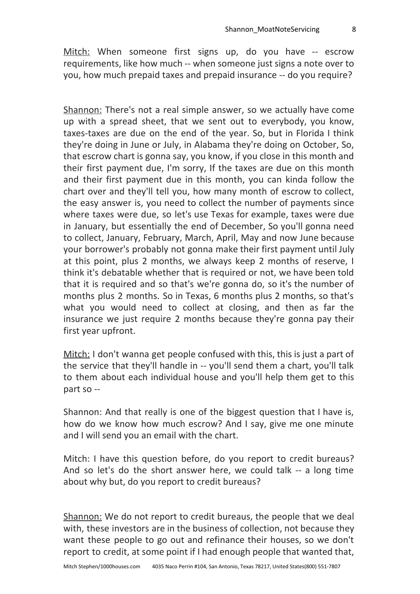Mitch: When someone first signs up, do you have -- escrow requirements, like how much -- when someone just signs a note over to you, how much prepaid taxes and prepaid insurance -- do you require?

Shannon: There's not a real simple answer, so we actually have come up with a spread sheet, that we sent out to everybody, you know, taxes-taxes are due on the end of the year. So, but in Florida I think they're doing in June or July, in Alabama they're doing on October, So, that escrow chart is gonna say, you know, if you close in this month and their first payment due, I'm sorry, If the taxes are due on this month and their first payment due in this month, you can kinda follow the chart over and they'll tell you, how many month of escrow to collect, the easy answer is, you need to collect the number of payments since where taxes were due, so let's use Texas for example, taxes were due in January, but essentially the end of December, So you'll gonna need to collect, January, February, March, April, May and now June because your borrower's probably not gonna make their first payment until July at this point, plus 2 months, we always keep 2 months of reserve, I think it's debatable whether that is required or not, we have been told that it is required and so that's we're gonna do, so it's the number of months plus 2 months. So in Texas, 6 months plus 2 months, so that's what you would need to collect at closing, and then as far the insurance we just require 2 months because they're gonna pay their first year upfront.

Mitch: I don't wanna get people confused with this, this is just a part of the service that they'll handle in -- you'll send them a chart, you'll talk to them about each individual house and you'll help them get to this part so --

Shannon: And that really is one of the biggest question that I have is, how do we know how much escrow? And I say, give me one minute and I will send you an email with the chart.

Mitch: I have this question before, do you report to credit bureaus? And so let's do the short answer here, we could talk -- a long time about why but, do you report to credit bureaus?

Shannon: We do not report to credit bureaus, the people that we deal with, these investors are in the business of collection, not because they want these people to go out and refinance their houses, so we don't report to credit, at some point if I had enough people that wanted that,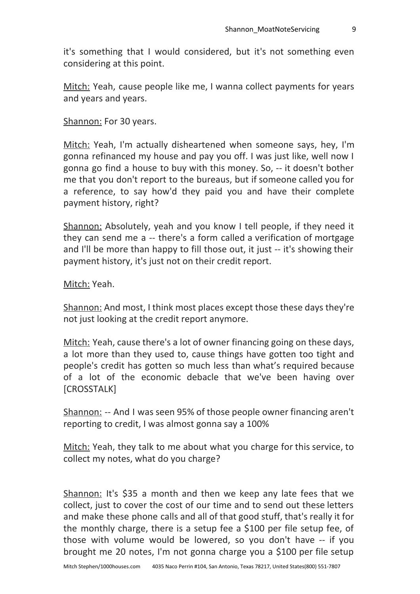it's something that I would considered, but it's not something even considering at this point.

Mitch: Yeah, cause people like me, I wanna collect payments for years and years and years.

Shannon: For 30 years.

Mitch: Yeah, I'm actually disheartened when someone says, hey, I'm gonna refinanced my house and pay you off. I was just like, well now I gonna go find a house to buy with this money. So, -- it doesn't bother me that you don't report to the bureaus, but if someone called you for a reference, to say how'd they paid you and have their complete payment history, right?

Shannon: Absolutely, yeah and you know I tell people, if they need it they can send me a -- there's a form called a verification of mortgage and I'll be more than happy to fill those out, it just -- it's showing their payment history, it's just not on their credit report.

Mitch: Yeah.

Shannon: And most, I think most places except those these days they're not just looking at the credit report anymore.

Mitch: Yeah, cause there's a lot of owner financing going on these days, a lot more than they used to, cause things have gotten too tight and people's credit has gotten so much less than what's required because of a lot of the economic debacle that we've been having over [CROSSTALK]

Shannon: -- And I was seen 95% of those people owner financing aren't reporting to credit, I was almost gonna say a 100%

Mitch: Yeah, they talk to me about what you charge for this service, to collect my notes, what do you charge?

Shannon: It's \$35 a month and then we keep any late fees that we collect, just to cover the cost of our time and to send out these letters and make these phone calls and all of that good stuff, that's really it for the monthly charge, there is a setup fee a \$100 per file setup fee, of those with volume would be lowered, so you don't have -- if you brought me 20 notes, I'm not gonna charge you a \$100 per file setup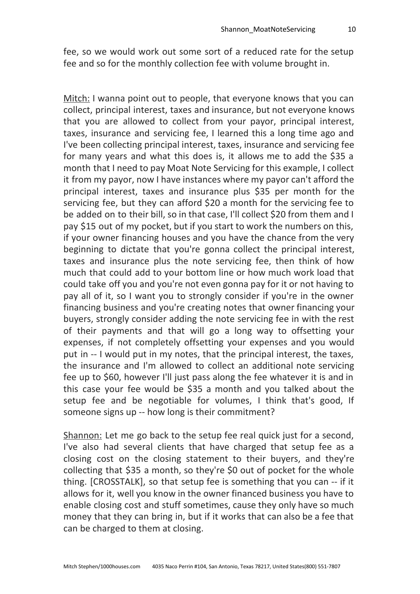fee, so we would work out some sort of a reduced rate for the setup fee and so for the monthly collection fee with volume brought in.

Mitch: I wanna point out to people, that everyone knows that you can collect, principal interest, taxes and insurance, but not everyone knows that you are allowed to collect from your payor, principal interest, taxes, insurance and servicing fee, I learned this a long time ago and I've been collecting principal interest, taxes, insurance and servicing fee for many years and what this does is, it allows me to add the \$35 a month that I need to pay Moat Note Servicing for this example, I collect it from my payor, now I have instances where my payor can't afford the principal interest, taxes and insurance plus \$35 per month for the servicing fee, but they can afford \$20 a month for the servicing fee to be added on to their bill, so in that case, I'll collect \$20 from them and I pay \$15 out of my pocket, but if you start to work the numbers on this, if your owner financing houses and you have the chance from the very beginning to dictate that you're gonna collect the principal interest, taxes and insurance plus the note servicing fee, then think of how much that could add to your bottom line or how much work load that could take off you and you're not even gonna pay for it or not having to pay all of it, so I want you to strongly consider if you're in the owner financing business and you're creating notes that owner financing your buyers, strongly consider adding the note servicing fee in with the rest of their payments and that will go a long way to offsetting your expenses, if not completely offsetting your expenses and you would put in -- I would put in my notes, that the principal interest, the taxes, the insurance and I'm allowed to collect an additional note servicing fee up to \$60, however I'll just pass along the fee whatever it is and in this case your fee would be \$35 a month and you talked about the setup fee and be negotiable for volumes, I think that's good, If someone signs up -- how long is their commitment?

Shannon: Let me go back to the setup fee real quick just for a second, I've also had several clients that have charged that setup fee as a closing cost on the closing statement to their buyers, and they're collecting that \$35 a month, so they're \$0 out of pocket for the whole thing. [CROSSTALK], so that setup fee is something that you can -- if it allows for it, well you know in the owner financed business you have to enable closing cost and stuff sometimes, cause they only have so much money that they can bring in, but if it works that can also be a fee that can be charged to them at closing.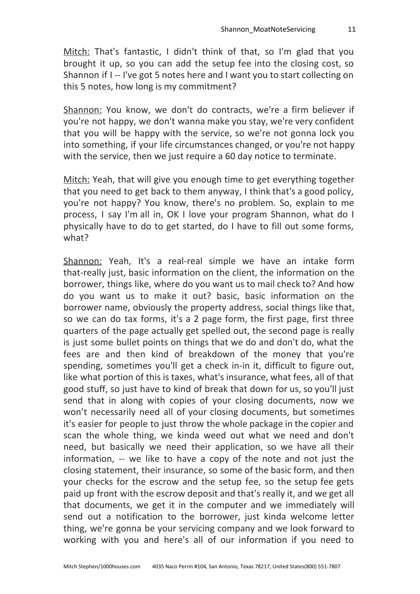Mitch: That's fantastic, I didn't think of that, so I'm glad that you brought it up, so you can add the setup fee into the closing cost, so Shannon if I -- I've got 5 notes here and I want you to start collecting on this 5 notes, how long is my commitment?

Shannon: You know, we don't do contracts, we're a firm believer if you're not happy, we don't wanna make you stay, we're very confident that you will be happy with the service, so we're not gonna lock you into something, if your life circumstances changed, or you're not happy with the service, then we just require a 60 day notice to terminate.

Mitch: Yeah, that will give you enough time to get everything together that you need to get back to them anyway, I think that's a good policy, you're not happy? You know, there's no problem. So, explain to me process, I say I'm all in, OK I love your program Shannon, what do I physically have to do to get started, do I have to fill out some forms, what?

Shannon: Yeah, It's a real-real simple we have an intake form that-really just, basic information on the client, the information on the borrower, things like, where do you want us to mail check to? And how do you want us to make it out? basic, basic information on the borrower name, obviously the property address, social things like that, so we can do tax forms, it's a 2 page form, the first page, first three quarters of the page actually get spelled out, the second page is really is just some bullet points on things that we do and don't do, what the fees are and then kind of breakdown of the money that you're spending, sometimes you'll get a check in-in it, difficult to figure out, like what portion of this is taxes, what's insurance, what fees, all of that good stuff, so just have to kind of break that down for us, so you'll just send that in along with copies of your closing documents, now we won't necessarily need all of your closing documents, but sometimes it's easier for people to just throw the whole package in the copier and scan the whole thing, we kinda weed out what we need and don't need, but basically we need their application, so we have all their information, -- we like to have a copy of the note and not just the closing statement, their insurance, so some of the basic form, and then your checks for the escrow and the setup fee, so the setup fee gets paid up front with the escrow deposit and that's really it, and we get all that documents, we get it in the computer and we immediately will send out a notification to the borrower, just kinda welcome letter thing, we're gonna be your servicing company and we look forward to working with you and here's all of our information if you need to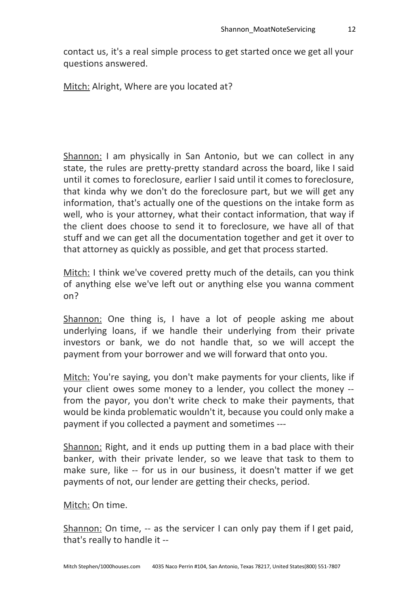contact us, it's a real simple process to get started once we get all your questions answered.

Mitch: Alright, Where are you located at?

Shannon: I am physically in San Antonio, but we can collect in any state, the rules are pretty-pretty standard across the board, like I said until it comes to foreclosure, earlier I said until it comes to foreclosure, that kinda why we don't do the foreclosure part, but we will get any information, that's actually one of the questions on the intake form as well, who is your attorney, what their contact information, that way if the client does choose to send it to foreclosure, we have all of that stuff and we can get all the documentation together and get it over to that attorney as quickly as possible, and get that process started.

Mitch: I think we've covered pretty much of the details, can you think of anything else we've left out or anything else you wanna comment on?

Shannon: One thing is, I have a lot of people asking me about underlying loans, if we handle their underlying from their private investors or bank, we do not handle that, so we will accept the payment from your borrower and we will forward that onto you.

Mitch: You're saying, you don't make payments for your clients, like if your client owes some money to a lender, you collect the money - from the payor, you don't write check to make their payments, that would be kinda problematic wouldn't it, because you could only make a payment if you collected a payment and sometimes ---

Shannon: Right, and it ends up putting them in a bad place with their banker, with their private lender, so we leave that task to them to make sure, like -- for us in our business, it doesn't matter if we get payments of not, our lender are getting their checks, period.

Mitch: On time.

Shannon: On time, -- as the servicer I can only pay them if I get paid, that's really to handle it --